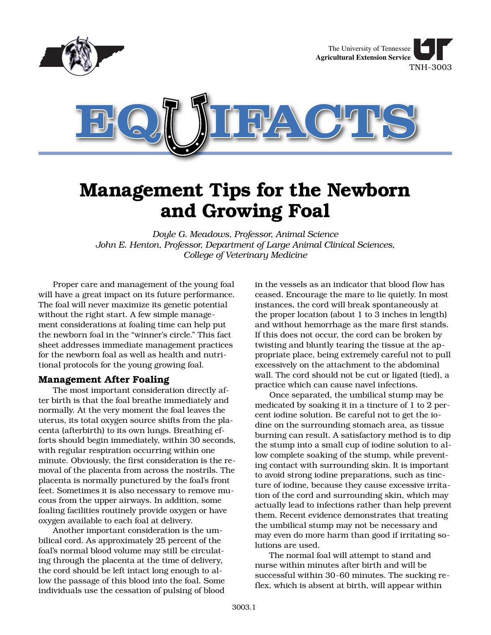

# **Management Tips for the Newborn and Growing Foal**

*Doyle G. Meadows, Professor, Animal Science John E. Henton, Professor, Department of Large Animal Clinical Sciences, College of Veterinary Medicine*

Proper care and management of the young foal will have a great impact on its future performance. The foal will never maximize its genetic potential without the right start. A few simple management considerations at foaling time can help put the newborn foal in the "winner's circle." This fact sheet addresses immediate management practices for the newborn foal as well as health and nutritional protocols for the young growing foal.

# **Management After Foaling**

The most important consideration directly after birth is that the foal breathe immediately and normally. At the very moment the foal leaves the uterus, its total oxygen source shifts from the placenta (afterbirth) to its own lungs. Breathing efforts should begin immediately, within 30 seconds, with regular respiration occurring within one minute. Obviously, the first consideration is the removal of the placenta from across the nostrils. The placenta is normally punctured by the foal's front feet. Sometimes it is also necessary to remove mucous from the upper airways. In addition, some foaling facilities routinely provide oxygen or have oxygen available to each foal at delivery.

Another important consideration is the umbilical cord. As approximately 25 percent of the foal's normal blood volume may still be circulating through the placenta at the time of delivery, the cord should be left intact long enough to allow the passage of this blood into the foal. Some individuals use the cessation of pulsing of blood in the vessels as an indicator that blood flow has ceased. Encourage the mare to lie quietly. In most instances, the cord will break spontaneously at the proper location (about 1 to 3 inches in length) and without hemorrhage as the mare first stands. If this does not occur, the cord can be broken by twisting and bluntly tearing the tissue at the appropriate place, being extremely careful not to pull excessively on the attachment to the abdominal wall. The cord should not be cut or ligated (tied), a practice which can cause navel infections.

Once separated, the umbilical stump may be medicated by soaking it in a tincture of 1 to 2 percent iodine solution. Be careful not to get the iodine on the surrounding stomach area, as tissue burning can result. A satisfactory method is to dip the stump into a small cup of iodine solution to allow complete soaking of the stump, while preventing contact with surrounding skin. It is important to avoid strong iodine preparations, such as tincture of iodine, because they cause excessive irritation of the cord and surrounding skin, which may actually lead to infections rather than help prevent them. Recent evidence demonstrates that treating the umbilical stump may not be necessary and may even do more harm than good if irritating solutions are used.

The normal foal will attempt to stand and nurse within minutes after birth and will be successful within 30-60 minutes. The sucking reflex, which is absent at birth, will appear within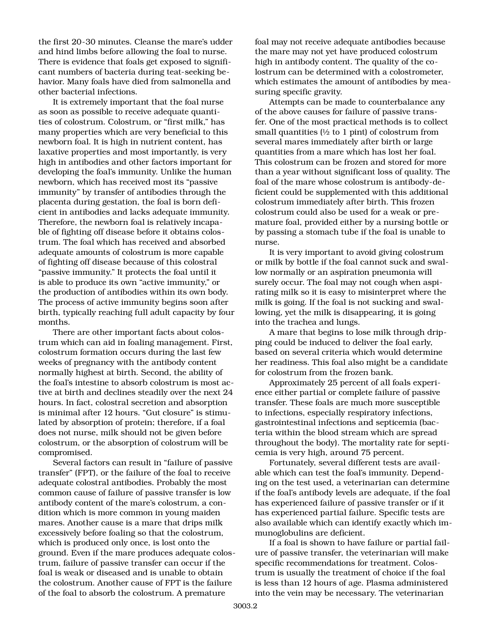the first 20-30 minutes. Cleanse the mare's udder and hind limbs before allowing the foal to nurse. There is evidence that foals get exposed to significant numbers of bacteria during teat-seeking behavior. Many foals have died from salmonella and other bacterial infections.

It is extremely important that the foal nurse as soon as possible to receive adequate quantities of colostrum. Colostrum, or "first milk," has many properties which are very beneficial to this newborn foal. It is high in nutrient content, has laxative properties and most importantly, is very high in antibodies and other factors important for developing the foal's immunity. Unlike the human newborn, which has received most its "passive immunity" by transfer of antibodies through the placenta during gestation, the foal is born deficient in antibodies and lacks adequate immunity. Therefore, the newborn foal is relatively incapable of fighting off disease before it obtains colostrum. The foal which has received and absorbed adequate amounts of colostrum is more capable of fighting off disease because of this colostral "passive immunity." It protects the foal until it is able to produce its own "active immunity," or the production of antibodies within its own body. The process of active immunity begins soon after birth, typically reaching full adult capacity by four months.

There are other important facts about colostrum which can aid in foaling management. First, colostrum formation occurs during the last few weeks of pregnancy with the antibody content normally highest at birth. Second, the ability of the foal's intestine to absorb colostrum is most active at birth and declines steadily over the next 24 hours. In fact, colostral secretion and absorption is minimal after 12 hours. "Gut closure" is stimulated by absorption of protein; therefore, if a foal does not nurse, milk should not be given before colostrum, or the absorption of colostrum will be compromised.

Several factors can result in "failure of passive transfer" (FPT), or the failure of the foal to receive adequate colostral antibodies. Probably the most common cause of failure of passive transfer is low antibody content of the mare's colostrum, a condition which is more common in young maiden mares. Another cause is a mare that drips milk excessively before foaling so that the colostrum, which is produced only once, is lost onto the ground. Even if the mare produces adequate colostrum, failure of passive transfer can occur if the foal is weak or diseased and is unable to obtain the colostrum. Another cause of FPT is the failure of the foal to absorb the colostrum. A premature

foal may not receive adequate antibodies because the mare may not yet have produced colostrum high in antibody content. The quality of the colostrum can be determined with a colostrometer, which estimates the amount of antibodies by measuring specific gravity.

Attempts can be made to counterbalance any of the above causes for failure of passive transfer. One of the most practical methods is to collect small quantities  $\frac{1}{2}$  to 1 pint) of colostrum from several mares immediately after birth or large quantities from a mare which has lost her foal. This colostrum can be frozen and stored for more than a year without significant loss of quality. The foal of the mare whose colostrum is antibody-deficient could be supplemented with this additional colostrum immediately after birth. This frozen colostrum could also be used for a weak or premature foal, provided either by a nursing bottle or by passing a stomach tube if the foal is unable to nurse.

It is very important to avoid giving colostrum or milk by bottle if the foal cannot suck and swallow normally or an aspiration pneumonia will surely occur. The foal may not cough when aspirating milk so it is easy to misinterpret where the milk is going. If the foal is not sucking and swallowing, yet the milk is disappearing, it is going into the trachea and lungs.

A mare that begins to lose milk through dripping could be induced to deliver the foal early, based on several criteria which would determine her readiness. This foal also might be a candidate for colostrum from the frozen bank.

Approximately 25 percent of all foals experience either partial or complete failure of passive transfer. These foals are much more susceptible to infections, especially respiratory infections, gastrointestinal infections and septicemia (bacteria within the blood stream which are spread throughout the body). The mortality rate for septicemia is very high, around 75 percent.

Fortunately, several different tests are available which can test the foal's immunity. Depending on the test used, a veterinarian can determine if the foal's antibody levels are adequate, if the foal has experienced failure of passive transfer or if it has experienced partial failure. Specific tests are also available which can identify exactly which immunoglobulins are deficient.

If a foal is shown to have failure or partial failure of passive transfer, the veterinarian will make specific recommendations for treatment. Colostrum is usually the treatment of choice if the foal is less than 12 hours of age. Plasma administered into the vein may be necessary. The veterinarian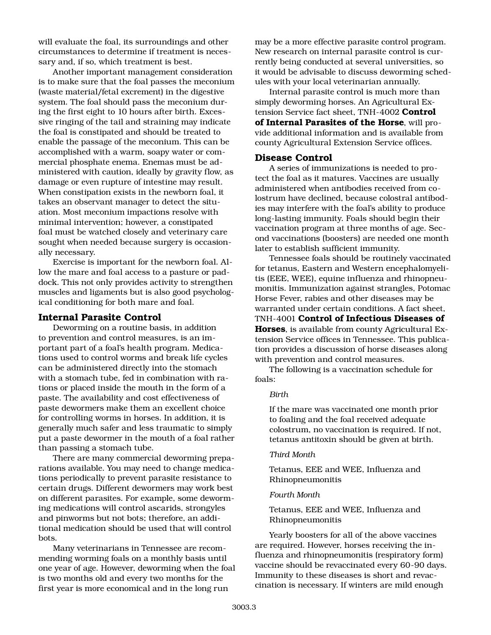will evaluate the foal, its surroundings and other circumstances to determine if treatment is necessary and, if so, which treatment is best.

Another important management consideration is to make sure that the foal passes the meconium (waste material/fetal excrement) in the digestive system. The foal should pass the meconium during the first eight to 10 hours after birth. Excessive ringing of the tail and straining may indicate the foal is constipated and should be treated to enable the passage of the meconium. This can be accomplished with a warm, soapy water or commercial phosphate enema. Enemas must be administered with caution, ideally by gravity flow, as damage or even rupture of intestine may result. When constipation exists in the newborn foal, it takes an observant manager to detect the situation. Most meconium impactions resolve with minimal intervention; however, a constipated foal must be watched closely and veterinary care sought when needed because surgery is occasionally necessary.

Exercise is important for the newborn foal. Allow the mare and foal access to a pasture or paddock. This not only provides activity to strengthen muscles and ligaments but is also good psychological conditioning for both mare and foal.

### **Internal Parasite Control**

Deworming on a routine basis, in addition to prevention and control measures, is an important part of a foal's health program. Medications used to control worms and break life cycles can be administered directly into the stomach with a stomach tube, fed in combination with rations or placed inside the mouth in the form of a paste. The availability and cost effectiveness of paste dewormers make them an excellent choice for controlling worms in horses. In addition, it is generally much safer and less traumatic to simply put a paste dewormer in the mouth of a foal rather than passing a stomach tube.

There are many commercial deworming preparations available. You may need to change medications periodically to prevent parasite resistance to certain drugs. Different dewormers may work best on different parasites. For example, some deworming medications will control ascarids, strongyles and pinworms but not bots; therefore, an additional medication should be used that will control bots.

Many veterinarians in Tennessee are recommending worming foals on a monthly basis until one year of age. However, deworming when the foal is two months old and every two months for the first year is more economical and in the long run

may be a more effective parasite control program. New research on internal parasite control is currently being conducted at several universities, so it would be advisable to discuss deworming schedules with your local veterinarian annually.

Internal parasite control is much more than simply deworming horses. An Agricultural Extension Service fact sheet, TNH-4002 **Control of Internal Parasites of the Horse**, will provide additional information and is available from county Agricultural Extension Service offices.

## **Disease Control**

A series of immunizations is needed to protect the foal as it matures. Vaccines are usually administered when antibodies received from colostrum have declined, because colostral antibodies may interfere with the foal's ability to produce long-lasting immunity. Foals should begin their vaccination program at three months of age. Second vaccinations (boosters) are needed one month later to establish sufficient immunity.

Tennessee foals should be routinely vaccinated for tetanus, Eastern and Western encephalomyelitis (EEE, WEE), equine influenza and rhinopneumonitis. Immunization against strangles, Potomac Horse Fever, rabies and other diseases may be warranted under certain conditions. A fact sheet, TNH-4001 **Control of Infectious Diseases of Horses**, is available from county Agricultural Extension Service offices in Tennessee. This publication provides a discussion of horse diseases along with prevention and control measures.

The following is a vaccination schedule for foals:

#### *Birth*

If the mare was vaccinated one month prior to foaling and the foal received adequate colostrum, no vaccination is required. If not, tetanus antitoxin should be given at birth.

#### *Third Month*

Tetanus, EEE and WEE, Influenza and Rhinopneumonitis

#### *Fourth Month*

Tetanus, EEE and WEE, Influenza and Rhinopneumonitis

Yearly boosters for all of the above vaccines are required. However, horses receiving the influenza and rhinopneumonitis (respiratory form) vaccine should be revaccinated every 60-90 days. Immunity to these diseases is short and revaccination is necessary. If winters are mild enough